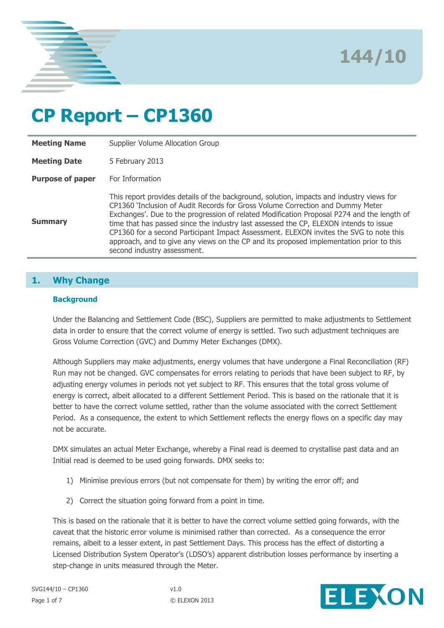

**144/10**

# **CP Report – CP1360**

| <b>Meeting Name</b>     | Supplier Volume Allocation Group                                                                                                                                                                                                                                                                                                                                                                                                                                                                                                                                                      |
|-------------------------|---------------------------------------------------------------------------------------------------------------------------------------------------------------------------------------------------------------------------------------------------------------------------------------------------------------------------------------------------------------------------------------------------------------------------------------------------------------------------------------------------------------------------------------------------------------------------------------|
| <b>Meeting Date</b>     | 5 February 2013                                                                                                                                                                                                                                                                                                                                                                                                                                                                                                                                                                       |
| <b>Purpose of paper</b> | For Information                                                                                                                                                                                                                                                                                                                                                                                                                                                                                                                                                                       |
| <b>Summary</b>          | This report provides details of the background, solution, impacts and industry views for<br>CP1360 'Inclusion of Audit Records for Gross Volume Correction and Dummy Meter<br>Exchanges'. Due to the progression of related Modification Proposal P274 and the length of<br>time that has passed since the industry last assessed the CP, ELEXON intends to issue<br>CP1360 for a second Participant Impact Assessment. ELEXON invites the SVG to note this<br>approach, and to give any views on the CP and its proposed implementation prior to this<br>second industry assessment. |

## **1. Why Change**

#### **Background**

Under the Balancing and Settlement Code (BSC), Suppliers are permitted to make adjustments to Settlement data in order to ensure that the correct volume of energy is settled. Two such adjustment techniques are Gross Volume Correction (GVC) and Dummy Meter Exchanges (DMX).

Although Suppliers may make adjustments, energy volumes that have undergone a Final Reconciliation (RF) Run may not be changed. GVC compensates for errors relating to periods that have been subject to RF, by adjusting energy volumes in periods not yet subject to RF. This ensures that the total gross volume of energy is correct, albeit allocated to a different Settlement Period. This is based on the rationale that it is better to have the correct volume settled, rather than the volume associated with the correct Settlement Period. As a consequence, the extent to which Settlement reflects the energy flows on a specific day may not be accurate.

DMX simulates an actual Meter Exchange, whereby a Final read is deemed to crystallise past data and an Initial read is deemed to be used going forwards. DMX seeks to:

- 1) Minimise previous errors (but not compensate for them) by writing the error off; and
- 2) Correct the situation going forward from a point in time.

This is based on the rationale that it is better to have the correct volume settled going forwards, with the caveat that the historic error volume is minimised rather than corrected. As a consequence the error remains, albeit to a lesser extent, in past Settlement Days. This process has the effect of distorting a Licensed Distribution System Operator's (LDSO's) apparent distribution losses performance by inserting a step-change in units measured through the Meter.

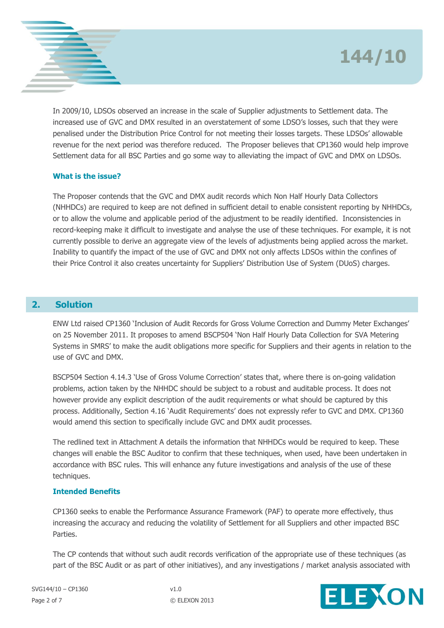

In 2009/10, LDSOs observed an increase in the scale of Supplier adjustments to Settlement data. The increased use of GVC and DMX resulted in an overstatement of some LDSO's losses, such that they were penalised under the Distribution Price Control for not meeting their losses targets. These LDSOs' allowable revenue for the next period was therefore reduced. The Proposer believes that CP1360 would help improve Settlement data for all BSC Parties and go some way to alleviating the impact of GVC and DMX on LDSOs.

### **What is the issue?**

The Proposer contends that the GVC and DMX audit records which Non Half Hourly Data Collectors (NHHDCs) are required to keep are not defined in sufficient detail to enable consistent reporting by NHHDCs, or to allow the volume and applicable period of the adjustment to be readily identified. Inconsistencies in record-keeping make it difficult to investigate and analyse the use of these techniques. For example, it is not currently possible to derive an aggregate view of the levels of adjustments being applied across the market. Inability to quantify the impact of the use of GVC and DMX not only affects LDSOs within the confines of their Price Control it also creates uncertainty for Suppliers' Distribution Use of System (DUoS) charges.

## **2. Solution**

ENW Ltd raised CP1360 'Inclusion of Audit Records for Gross Volume Correction and Dummy Meter Exchanges' on 25 November 2011. It proposes to amend BSCP504 'Non Half Hourly Data Collection for SVA Metering Systems in SMRS' to make the audit obligations more specific for Suppliers and their agents in relation to the use of GVC and DMX.

BSCP504 Section 4.14.3 'Use of Gross Volume Correction' states that, where there is on-going validation problems, action taken by the NHHDC should be subject to a robust and auditable process. It does not however provide any explicit description of the audit requirements or what should be captured by this process. Additionally, Section 4.16 'Audit Requirements' does not expressly refer to GVC and DMX. CP1360 would amend this section to specifically include GVC and DMX audit processes.

The redlined text in Attachment A details the information that NHHDCs would be required to keep. These changes will enable the BSC Auditor to confirm that these techniques, when used, have been undertaken in accordance with BSC rules. This will enhance any future investigations and analysis of the use of these techniques.

#### **Intended Benefits**

CP1360 seeks to enable the Performance Assurance Framework (PAF) to operate more effectively, thus increasing the accuracy and reducing the volatility of Settlement for all Suppliers and other impacted BSC Parties.

The CP contends that without such audit records verification of the appropriate use of these techniques (as part of the BSC Audit or as part of other initiatives), and any investigations / market analysis associated with

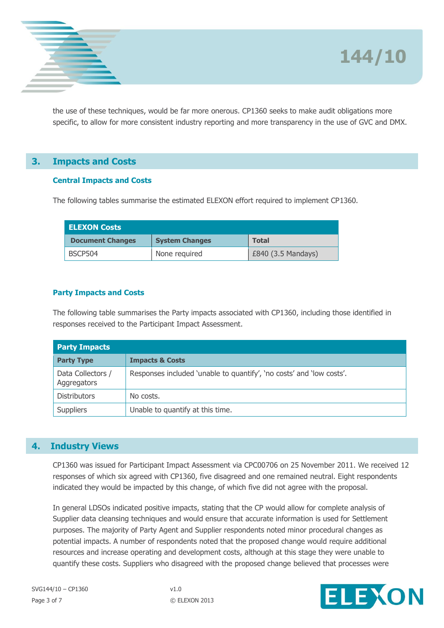

the use of these techniques, would be far more onerous. CP1360 seeks to make audit obligations more specific, to allow for more consistent industry reporting and more transparency in the use of GVC and DMX.

## **3. Impacts and Costs**

#### **Central Impacts and Costs**

The following tables summarise the estimated ELEXON effort required to implement CP1360.

| <b>ELEXON Costs</b>     |                       |                    |  |  |
|-------------------------|-----------------------|--------------------|--|--|
| <b>Document Changes</b> | <b>System Changes</b> | <b>Total</b>       |  |  |
| BSCP504                 | None required         | £840 (3.5 Mandays) |  |  |

### **Party Impacts and Costs**

The following table summarises the Party impacts associated with CP1360, including those identified in responses received to the Participant Impact Assessment.

| <b>Party Impacts</b>             |                                                                      |  |
|----------------------------------|----------------------------------------------------------------------|--|
| <b>Party Type</b>                | <b>Impacts &amp; Costs</b>                                           |  |
| Data Collectors /<br>Aggregators | Responses included 'unable to quantify', 'no costs' and 'low costs'. |  |
| <b>Distributors</b>              | No costs.                                                            |  |
| <b>Suppliers</b>                 | Unable to quantify at this time.                                     |  |

## **4. Industry Views**

CP1360 was issued for Participant Impact Assessment via CPC00706 on 25 November 2011. We received 12 responses of which six agreed with CP1360, five disagreed and one remained neutral. Eight respondents indicated they would be impacted by this change, of which five did not agree with the proposal.

In general LDSOs indicated positive impacts, stating that the CP would allow for complete analysis of Supplier data cleansing techniques and would ensure that accurate information is used for Settlement purposes. The majority of Party Agent and Supplier respondents noted minor procedural changes as potential impacts. A number of respondents noted that the proposed change would require additional resources and increase operating and development costs, although at this stage they were unable to quantify these costs. Suppliers who disagreed with the proposed change believed that processes were

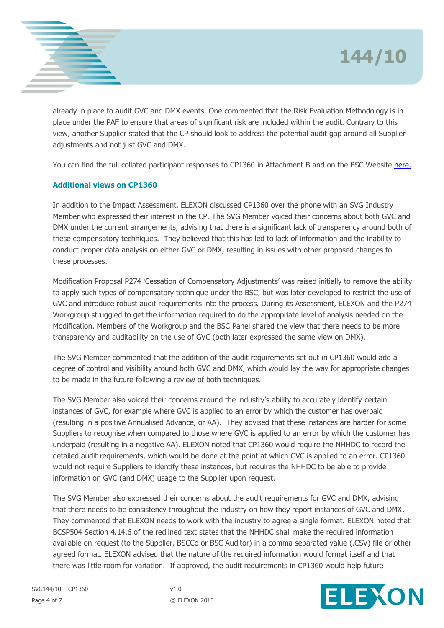

already in place to audit GVC and DMX events. One commented that the Risk Evaluation Methodology is in place under the PAF to ensure that areas of significant risk are included within the audit. Contrary to this view, another Supplier stated that the CP should look to address the potential audit gap around all Supplier adjustments and not just GVC and DMX.

You can find the full collated participant responses to CP1360 in Attachment B and on the BSC Website [here.](http://www.elexon.co.uk/ELEXON%20Documents/CPC00706_Collated_responses_CP1360.pdf)

## **Additional views on CP1360**

In addition to the Impact Assessment, ELEXON discussed CP1360 over the phone with an SVG Industry Member who expressed their interest in the CP. The SVG Member voiced their concerns about both GVC and DMX under the current arrangements, advising that there is a significant lack of transparency around both of these compensatory techniques. They believed that this has led to lack of information and the inability to conduct proper data analysis on either GVC or DMX, resulting in issues with other proposed changes to these processes.

Modification Proposal P274 'Cessation of Compensatory Adjustments' was raised initially to remove the ability to apply such types of compensatory technique under the BSC, but was later developed to restrict the use of GVC and introduce robust audit requirements into the process. During its Assessment, ELEXON and the P274 Workgroup struggled to get the information required to do the appropriate level of analysis needed on the Modification. Members of the Workgroup and the BSC Panel shared the view that there needs to be more transparency and auditability on the use of GVC (both later expressed the same view on DMX).

The SVG Member commented that the addition of the audit requirements set out in CP1360 would add a degree of control and visibility around both GVC and DMX, which would lay the way for appropriate changes to be made in the future following a review of both techniques.

The SVG Member also voiced their concerns around the industry's ability to accurately identify certain instances of GVC, for example where GVC is applied to an error by which the customer has overpaid (resulting in a positive Annualised Advance, or AA). They advised that these instances are harder for some Suppliers to recognise when compared to those where GVC is applied to an error by which the customer has underpaid (resulting in a negative AA). ELEXON noted that CP1360 would require the NHHDC to record the detailed audit requirements, which would be done at the point at which GVC is applied to an error. CP1360 would not require Suppliers to identify these instances, but requires the NHHDC to be able to provide information on GVC (and DMX) usage to the Supplier upon request.

The SVG Member also expressed their concerns about the audit requirements for GVC and DMX, advising that there needs to be consistency throughout the industry on how they report instances of GVC and DMX. They commented that ELEXON needs to work with the industry to agree a single format. ELEXON noted that BCSP504 Section 4.14.6 of the redlined text states that the NHHDC shall make the required information available on request (to the Supplier, BSCCo or BSC Auditor) in a comma separated value (.CSV) file or other agreed format. ELEXON advised that the nature of the required information would format itself and that there was little room for variation. If approved, the audit requirements in CP1360 would help future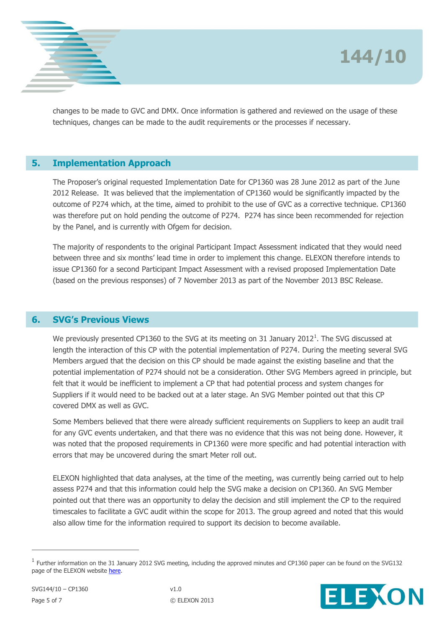

changes to be made to GVC and DMX. Once information is gathered and reviewed on the usage of these techniques, changes can be made to the audit requirements or the processes if necessary.

## **5. Implementation Approach**

The Proposer's original requested Implementation Date for CP1360 was 28 June 2012 as part of the June 2012 Release. It was believed that the implementation of CP1360 would be significantly impacted by the outcome of P274 which, at the time, aimed to prohibit to the use of GVC as a corrective technique. CP1360 was therefore put on hold pending the outcome of P274. P274 has since been recommended for rejection by the Panel, and is currently with Ofgem for decision.

The majority of respondents to the original Participant Impact Assessment indicated that they would need between three and six months' lead time in order to implement this change. ELEXON therefore intends to issue CP1360 for a second Participant Impact Assessment with a revised proposed Implementation Date (based on the previous responses) of 7 November 2013 as part of the November 2013 BSC Release.

## **6. SVG's Previous Views**

We previously presented CP1360 to the SVG at its meeting on 31 January 2012<sup>1</sup>. The SVG discussed at length the interaction of this CP with the potential implementation of P274. During the meeting several SVG Members argued that the decision on this CP should be made against the existing baseline and that the potential implementation of P274 should not be a consideration. Other SVG Members agreed in principle, but felt that it would be inefficient to implement a CP that had potential process and system changes for Suppliers if it would need to be backed out at a later stage. An SVG Member pointed out that this CP covered DMX as well as GVC.

Some Members believed that there were already sufficient requirements on Suppliers to keep an audit trail for any GVC events undertaken, and that there was no evidence that this was not being done. However, it was noted that the proposed requirements in CP1360 were more specific and had potential interaction with errors that may be uncovered during the smart Meter roll out.

ELEXON highlighted that data analyses, at the time of the meeting, was currently being carried out to help assess P274 and that this information could help the SVG make a decision on CP1360. An SVG Member pointed out that there was an opportunity to delay the decision and still implement the CP to the required timescales to facilitate a GVC audit within the scope for 2013. The group agreed and noted that this would also allow time for the information required to support its decision to become available.

 $^1$  Further information on the 31 January 2012 SVG meeting, including the approved minutes and CP1360 paper can be found on the SVG132 page of the ELEXON website [here.](http://www.elexon.co.uk/meeting/svg-132/)



 $\overline{a}$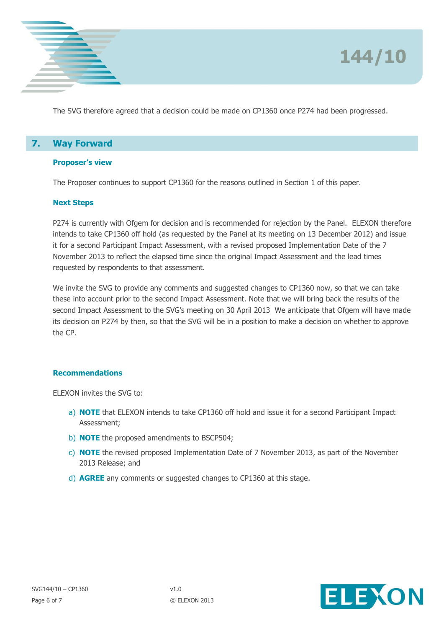

The SVG therefore agreed that a decision could be made on CP1360 once P274 had been progressed.

# **7. Way Forward**

#### **Proposer's view**

The Proposer continues to support CP1360 for the reasons outlined in Section 1 of this paper.

#### **Next Steps**

P274 is currently with Ofgem for decision and is recommended for rejection by the Panel. ELEXON therefore intends to take CP1360 off hold (as requested by the Panel at its meeting on 13 December 2012) and issue it for a second Participant Impact Assessment, with a revised proposed Implementation Date of the 7 November 2013 to reflect the elapsed time since the original Impact Assessment and the lead times requested by respondents to that assessment.

We invite the SVG to provide any comments and suggested changes to CP1360 now, so that we can take these into account prior to the second Impact Assessment. Note that we will bring back the results of the second Impact Assessment to the SVG's meeting on 30 April 2013 We anticipate that Ofgem will have made its decision on P274 by then, so that the SVG will be in a position to make a decision on whether to approve the CP.

#### **Recommendations**

ELEXON invites the SVG to:

- a) **NOTE** that ELEXON intends to take CP1360 off hold and issue it for a second Participant Impact Assessment;
- b) **NOTE** the proposed amendments to BSCP504;
- c) **NOTE** the revised proposed Implementation Date of 7 November 2013, as part of the November 2013 Release; and
- d) **AGREE** any comments or suggested changes to CP1360 at this stage.